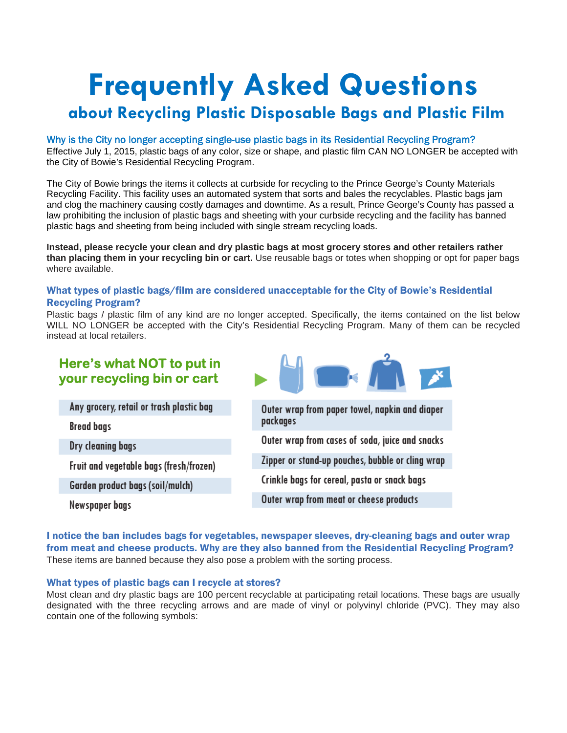# **Frequently Asked Questions**

## **about Recycling Plastic Disposable Bags and Plastic Film**

#### Why is the City no longer accepting single-use plastic bags in its Residential Recycling Program?

Effective July 1, 2015, plastic bags of any color, size or shape, and plastic film CAN NO LONGER be accepted with the City of Bowie's Residential Recycling Program.

The City of Bowie brings the items it collects at curbside for recycling to the Prince George's County Materials Recycling Facility. This facility uses an automated system that sorts and bales the recyclables. Plastic bags jam and clog the machinery causing costly damages and downtime. As a result, Prince George's County has passed a law prohibiting the inclusion of plastic bags and sheeting with your curbside recycling and the facility has banned plastic bags and sheeting from being included with single stream recycling loads.

**Instead, please recycle your clean and dry plastic bags at most grocery stores and other retailers rather than placing them in your recycling bin or cart.** Use reusable bags or totes when shopping or opt for paper bags where available.

#### What types of plastic bags/film are considered unacceptable for the City of Bowie's Residential Recycling Program?

Plastic bags / plastic film of any kind are no longer accepted. Specifically, the items contained on the list below WILL NO LONGER be accepted with the City's Residential Recycling Program. Many of them can be recycled instead at local retailers.

### **Here's what NOT to put in your recycling bin or cart**

Any grocery, retail or trash plastic bag

**Bread bags** 

Dry cleaning bags

Fruit and vegetable bags (fresh/frozen)

Garden product bags (soil/mulch)

Newspaper bags



I notice the ban includes bags for vegetables, newspaper sleeves, dry-cleaning bags and outer wrap from meat and cheese products. Why are they also banned from the Residential Recycling Program? These items are banned because they also pose a problem with the sorting process.

#### What types of plastic bags can I recycle at stores?

Most clean and dry plastic bags are 100 percent recyclable at participating retail locations. These bags are usually designated with the three recycling arrows and are made of vinyl or polyvinyl chloride (PVC). They may also contain one of the following symbols: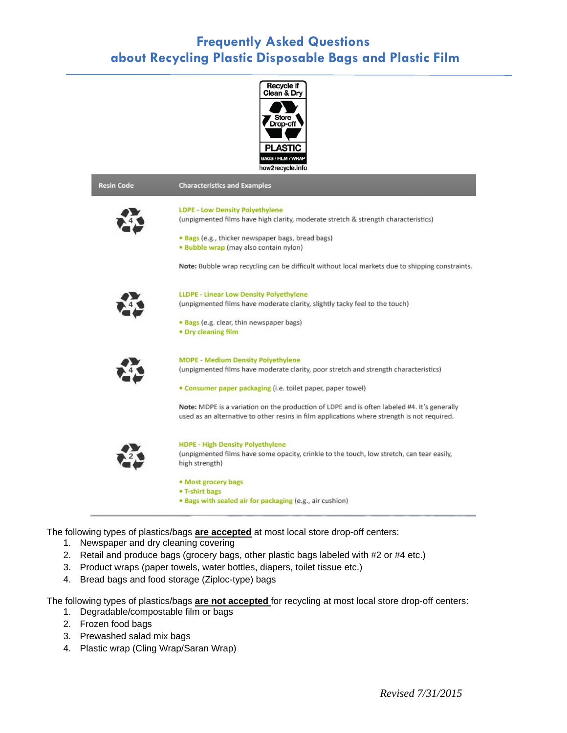## **Frequently Asked Questions about Recycling Plastic Disposable Bags and Plastic Film**



The following types of plastics/bags **are accepted** at most local store drop-off centers:

- 1. Newspaper and dry cleaning covering
- 2. Retail and produce bags (grocery bags, other plastic bags labeled with #2 or #4 etc.)
- 3. Product wraps (paper towels, water bottles, diapers, toilet tissue etc.)
- 4. Bread bags and food storage (Ziploc-type) bags

The following types of plastics/bags **are not accepted** for recycling at most local store drop-off centers:

- 1. Degradable/compostable film or bags
- 2. Frozen food bags
- 3. Prewashed salad mix bags
- 4. Plastic wrap (Cling Wrap/Saran Wrap)